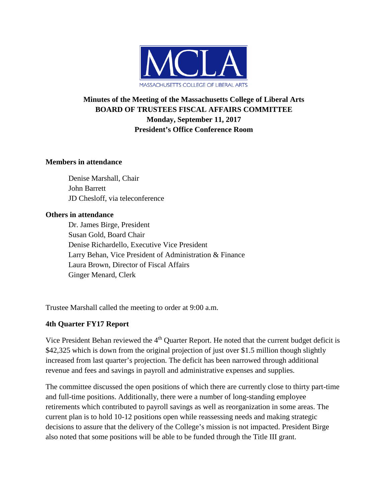

# **Minutes of the Meeting of the Massachusetts College of Liberal Arts BOARD OF TRUSTEES FISCAL AFFAIRS COMMITTEE Monday, September 11, 2017 President's Office Conference Room**

### **Members in attendance**

Denise Marshall, Chair John Barrett JD Chesloff, via teleconference

#### **Others in attendance**

Dr. James Birge, President Susan Gold, Board Chair Denise Richardello, Executive Vice President Larry Behan, Vice President of Administration & Finance Laura Brown, Director of Fiscal Affairs Ginger Menard, Clerk

Trustee Marshall called the meeting to order at 9:00 a.m.

#### **4th Quarter FY17 Report**

Vice President Behan reviewed the 4<sup>th</sup> Quarter Report. He noted that the current budget deficit is \$42,325 which is down from the original projection of just over \$1.5 million though slightly increased from last quarter's projection. The deficit has been narrowed through additional revenue and fees and savings in payroll and administrative expenses and supplies.

The committee discussed the open positions of which there are currently close to thirty part-time and full-time positions. Additionally, there were a number of long-standing employee retirements which contributed to payroll savings as well as reorganization in some areas. The current plan is to hold 10-12 positions open while reassessing needs and making strategic decisions to assure that the delivery of the College's mission is not impacted. President Birge also noted that some positions will be able to be funded through the Title III grant.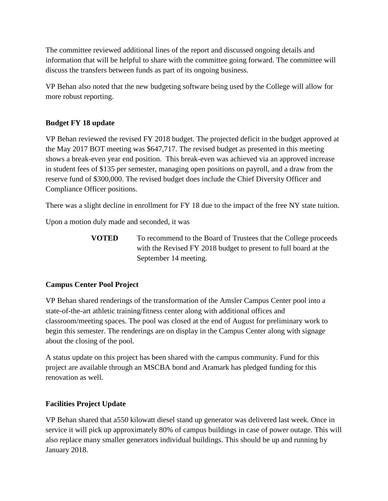The committee reviewed additional lines of the report and discussed ongoing details and information that will be helpful to share with the committee going forward. The committee will discuss the transfers between funds as part of its ongoing business.

VP Behan also noted that the new budgeting software being used by the College will allow for more robust reporting.

# **Budget FY 18 update**

VP Behan reviewed the revised FY 2018 budget. The projected deficit in the budget approved at the May 2017 BOT meeting was \$647,717. The revised budget as presented in this meeting shows a break-even year end position. This break-even was achieved via an approved increase in student fees of \$135 per semester, managing open positions on payroll, and a draw from the reserve fund of \$300,000. The revised budget does include the Chief Diversity Officer and Compliance Officer positions.

There was a slight decline in enrollment for FY 18 due to the impact of the free NY state tuition.

Upon a motion duly made and seconded, it was

**VOTED** To recommend to the Board of Trustees that the College proceeds with the Revised FY 2018 budget to present to full board at the September 14 meeting.

# **Campus Center Pool Project**

VP Behan shared renderings of the transformation of the Amsler Campus Center pool into a state-of-the-art athletic training/fitness center along with additional offices and classroom/meeting spaces. The pool was closed at the end of August for preliminary work to begin this semester. The renderings are on display in the Campus Center along with signage about the closing of the pool.

A status update on this project has been shared with the campus community. Fund for this project are available through an MSCBA bond and Aramark has pledged funding for this renovation as well.

# **Facilities Project Update**

VP Behan shared that a550 kilowatt diesel stand up generator was delivered last week. Once in service it will pick up approximately 80% of campus buildings in case of power outage. This will also replace many smaller generators individual buildings. This should be up and running by January 2018.